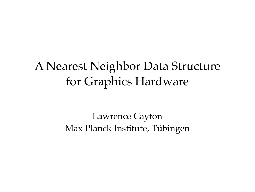## A Nearest Neighbor Data Structure for Graphics Hardware

#### Lawrence Cayton Max Planck Institute, Tübingen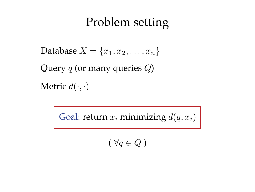## Problem setting

Database  $X = \{x_1, x_2, \ldots, x_n\}$ 

Query *q* (or many queries *Q*)

Metric  $d(\cdot, \cdot)$ 

Goal: return  $x_i$  minimizing  $d(q, x_i)$ 

 $(\forall q \in Q)$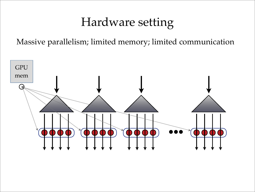## Hardware setting

Massive parallelism; limited memory; limited communication

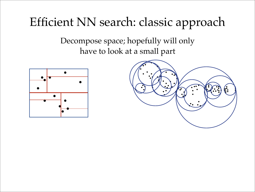# Efficient NN search: classic approach

Decompose space; hopefully will only have to look at a small part



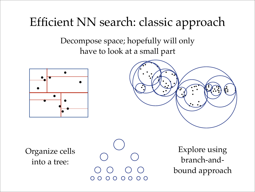# Efficient NN search: classic approach

Decompose space; hopefully will only have to look at a small part





Organize cells into a tree:

O O O O  $\bigcirc$ 

Explore using branch-andbound approach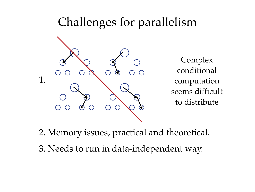## Challenges for parallelism



Complex conditional computation seems difficult to distribute

2. Memory issues, practical and theoretical.

3. Needs to run in data-independent way.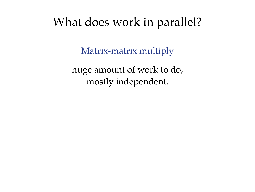#### What does work in parallel?

Matrix-matrix multiply

huge amount of work to do, mostly independent.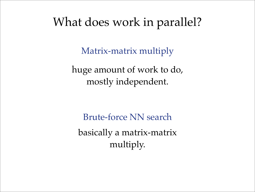#### What does work in parallel?

Matrix-matrix multiply

huge amount of work to do, mostly independent.

Brute-force NN search basically a matrix-matrix multiply.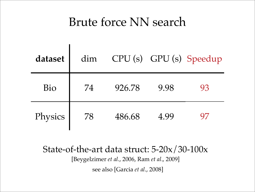### Brute force NN search

| dataset | dim |        |      | CPU (s) GPU (s) Speedup |
|---------|-----|--------|------|-------------------------|
| Bio     | 74  | 926.78 | 9.98 | 93                      |
| Physics | 78  | 486.68 | 4.99 | $\mathsf{Q}'$           |

State-of-the-art data struct: 5-20x/30-100x

[Beygelzimer *et al*., 2006, Ram *et al*., 2009]

see also [Garcia *et al*., 2008]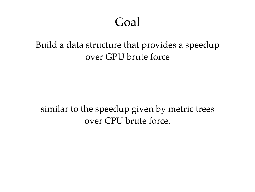#### Goal

#### Build a data structure that provides a speedup over GPU brute force

#### similar to the speedup given by metric trees over CPU brute force.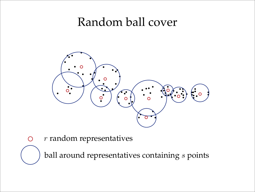#### Random ball cover



*r* random representatives $\bigcirc$ 

ball around representatives containing *s* points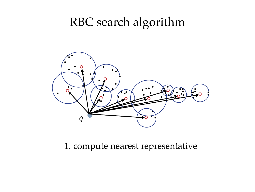### RBC search algorithm



1. compute nearest representative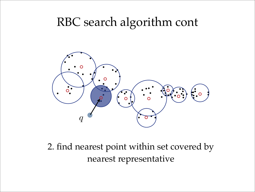### RBC search algorithm cont



2. find nearest point within set covered by nearest representative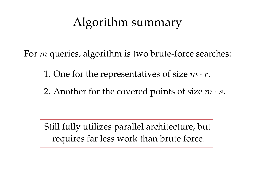## Algorithm summary

For *m* queries, algorithm is two brute-force searches:

1. One for the representatives of size *m · r*.

2. Another for the covered points of size *m · s*.

Still fully utilizes parallel architecture, but requires far less work than brute force.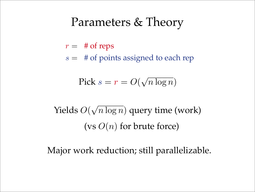#### Parameters & Theory

- $r = #$  of reps
- *s* = # of points assigned to each rep

$$
Pick \, s = r = O(\sqrt{n \log n})
$$

(vs  $O(n)$  for brute force) Yields *O*( <sup>√</sup>*<sup>n</sup>* log *<sup>n</sup>*) query time (work)

Major work reduction; still parallelizable.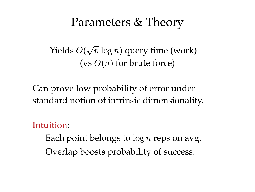#### Parameters & Theory

(vs  $O(n)$  for brute force) Yields *O*( √*n* log *n*) query time (work)

Can prove low probability of error under standard notion of intrinsic dimensionality.

Intuition:

Overlap boosts probability of success. Each point belongs to log *n* reps on avg.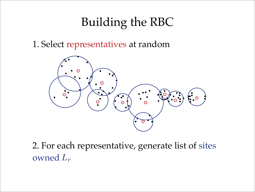# Building the RBC

1. Select representatives at random



2. For each representative, generate list of sites owned *Lr*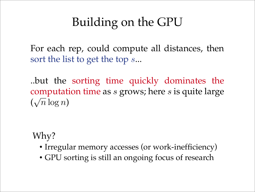# Building on the GPU

For each rep, could compute all distances, then sort the list to get the top *s*...

..but the sorting time quickly dominates the computation time as *s* grows; here *s* is quite large  $(\sqrt{n}\log n)$ 

Why?

- Irregular memory accesses (or work-inefficiency)
- GPU sorting is still an ongoing focus of research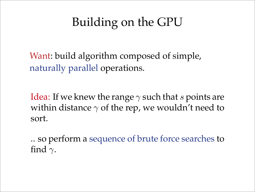# Building on the GPU

Want: build algorithm composed of simple, naturally parallel operations.

Idea: If we knew the range  $\gamma$  such that *s* points are within distance  $\gamma$  of the rep, we wouldn't need to sort.

.. so perform a sequence of brute force searches to find  $\gamma$ .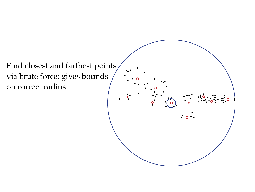Find closest and farthest points, via brute force; gives bounds on correct radius

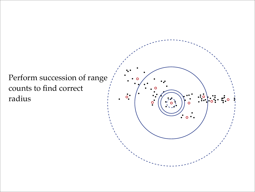Perform succession of range counts to find correct radius

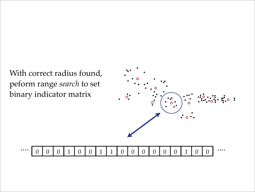With correct radius found, peform range *search* to set binary indicator matrix



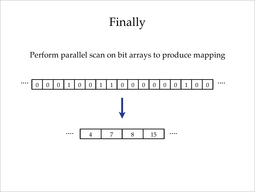# Finally

Perform parallel scan on bit arrays to produce mapping

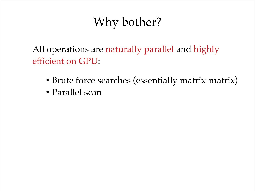# Why bother?

All operations are naturally parallel and highly efficient on GPU:

- Brute force searches (essentially matrix-matrix)
- Parallel scan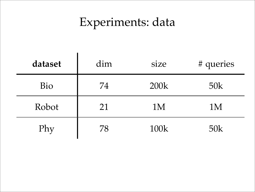# Experiments: data

| dataset | dim | size | # queries |
|---------|-----|------|-----------|
| Bio     | 74  | 200k | 50k       |
| Robot   | 21  | 1M   | 1M        |
| Phy     | 78  | 100k | 50k       |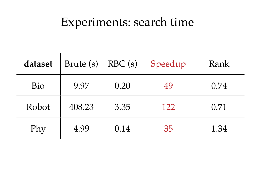## Experiments: search time

 $\mathbf{r}$ 

| dataset |        |      | Brute (s) RBC (s) Speedup | Rank |
|---------|--------|------|---------------------------|------|
| Bio     | 9.97   | 0.20 | 49                        | 0.74 |
| Robot   | 408.23 | 3.35 | 122                       | 0.71 |
| Phy     | 4.99   | 0.14 | 35                        | 1.34 |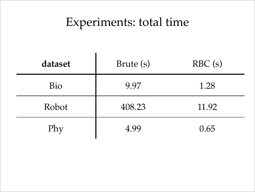## Experiments: total time

| dataset | Brute (s) | RBC(s) |
|---------|-----------|--------|
| Bio     | 9.97      | 1.28   |
| Robot   | 408.23    | 11.92  |
| Phy     | 4.99      | 0.65   |